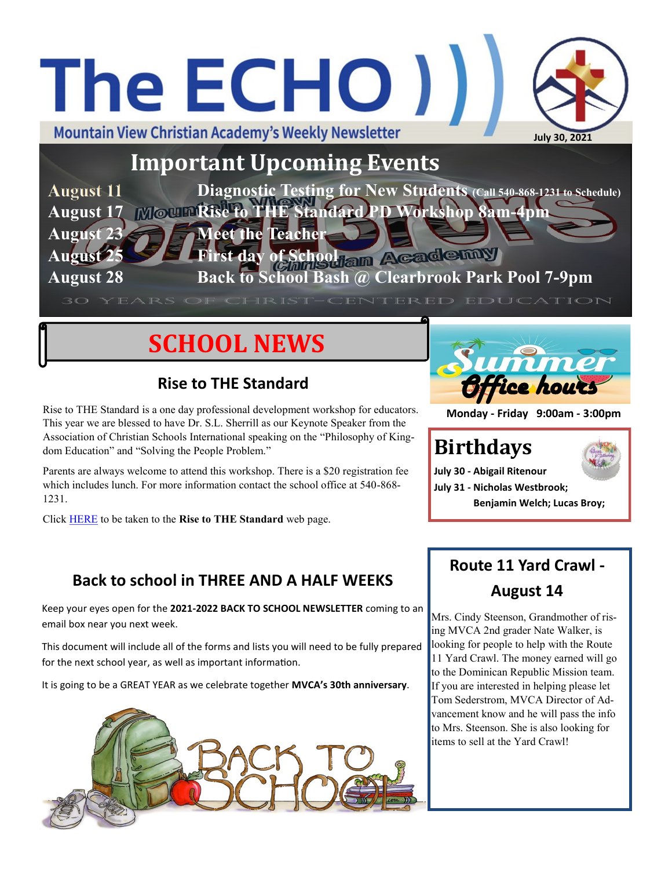## The ECHO ) **Mountain View Christian Academy's Weekly Newsletter July 30, 2021**

**Important Upcoming Events**

**Diagnostic Testing for New Students (Call 540-868-1231 to Schedule) August 11 August 17 Rise to THE Standard PD Workshop 8am-4pm August 23 Meet the Teacher August 25 First day of School am Academay August 28 Back to School Bash @ Clearbrook Park Pool 7-9pm**

## **SCHOOL NEWS**

#### **Rise to THE Standard**

Rise to THE Standard is a one day professional development workshop for educators. This year we are blessed to have Dr. S.L. Sherrill as our Keynote Speaker from the Association of Christian Schools International speaking on the "Philosophy of Kingdom Education" and "Solving the People Problem."

Parents are always welcome to attend this workshop. There is a \$20 registration fee which includes lunch. For more information contact the school office at 540-868- 1231.

Click [HERE](http://mvca.ccmv.com/rise-to-the-standard.html) to be taken to the **Rise to THE Standard** web page.



**Monday - Friday 9:00am - 3:00pm**

### **Birthdays**



**July 30 - Abigail Ritenour July 31 - Nicholas Westbrook; Benjamin Welch; Lucas Broy;**

#### **Back to school in THREE AND A HALF WEEKS**

Keep your eyes open for the **2021-2022 BACK TO SCHOOL NEWSLETTER** coming to an email box near you next week.

This document will include all of the forms and lists you will need to be fully prepared for the next school year, as well as important information.

It is going to be a GREAT YEAR as we celebrate together **MVCA's 30th anniversary**.



#### **Route 11 Yard Crawl - August 14**

Mrs. Cindy Steenson, Grandmother of rising MVCA 2nd grader Nate Walker, is looking for people to help with the Route 11 Yard Crawl. The money earned will go to the Dominican Republic Mission team. If you are interested in helping please let Tom Sederstrom, MVCA Director of Advancement know and he will pass the info to Mrs. Steenson. She is also looking for items to sell at the Yard Crawl!